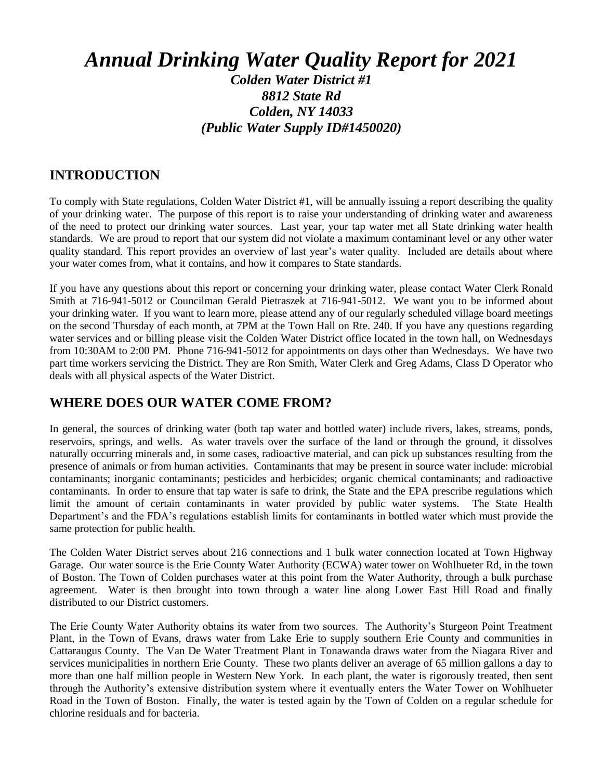# *Annual Drinking Water Quality Report for 2021*

#### *Colden Water District #1 8812 State Rd Colden, NY 14033 (Public Water Supply ID#1450020)*

#### **INTRODUCTION**

To comply with State regulations, Colden Water District #1, will be annually issuing a report describing the quality of your drinking water. The purpose of this report is to raise your understanding of drinking water and awareness of the need to protect our drinking water sources. Last year, your tap water met all State drinking water health standards. We are proud to report that our system did not violate a maximum contaminant level or any other water quality standard. This report provides an overview of last year's water quality. Included are details about where your water comes from, what it contains, and how it compares to State standards.

If you have any questions about this report or concerning your drinking water, please contact Water Clerk Ronald Smith at 716-941-5012 or Councilman Gerald Pietraszek at 716-941-5012. We want you to be informed about your drinking water. If you want to learn more, please attend any of our regularly scheduled village board meetings on the second Thursday of each month, at 7PM at the Town Hall on Rte. 240. If you have any questions regarding water services and or billing please visit the Colden Water District office located in the town hall, on Wednesdays from 10:30AM to 2:00 PM. Phone 716-941-5012 for appointments on days other than Wednesdays. We have two part time workers servicing the District. They are Ron Smith, Water Clerk and Greg Adams, Class D Operator who deals with all physical aspects of the Water District.

#### **WHERE DOES OUR WATER COME FROM?**

In general, the sources of drinking water (both tap water and bottled water) include rivers, lakes, streams, ponds, reservoirs, springs, and wells. As water travels over the surface of the land or through the ground, it dissolves naturally occurring minerals and, in some cases, radioactive material, and can pick up substances resulting from the presence of animals or from human activities. Contaminants that may be present in source water include: microbial contaminants; inorganic contaminants; pesticides and herbicides; organic chemical contaminants; and radioactive contaminants. In order to ensure that tap water is safe to drink, the State and the EPA prescribe regulations which limit the amount of certain contaminants in water provided by public water systems. The State Health Department's and the FDA's regulations establish limits for contaminants in bottled water which must provide the same protection for public health.

The Colden Water District serves about 216 connections and 1 bulk water connection located at Town Highway Garage. Our water source is the Erie County Water Authority (ECWA) water tower on Wohlhueter Rd, in the town of Boston. The Town of Colden purchases water at this point from the Water Authority, through a bulk purchase agreement. Water is then brought into town through a water line along Lower East Hill Road and finally distributed to our District customers.

The Erie County Water Authority obtains its water from two sources. The Authority's Sturgeon Point Treatment Plant, in the Town of Evans, draws water from Lake Erie to supply southern Erie County and communities in Cattaraugus County. The Van De Water Treatment Plant in Tonawanda draws water from the Niagara River and services municipalities in northern Erie County. These two plants deliver an average of 65 million gallons a day to more than one half million people in Western New York. In each plant, the water is rigorously treated, then sent through the Authority's extensive distribution system where it eventually enters the Water Tower on Wohlhueter Road in the Town of Boston. Finally, the water is tested again by the Town of Colden on a regular schedule for chlorine residuals and for bacteria.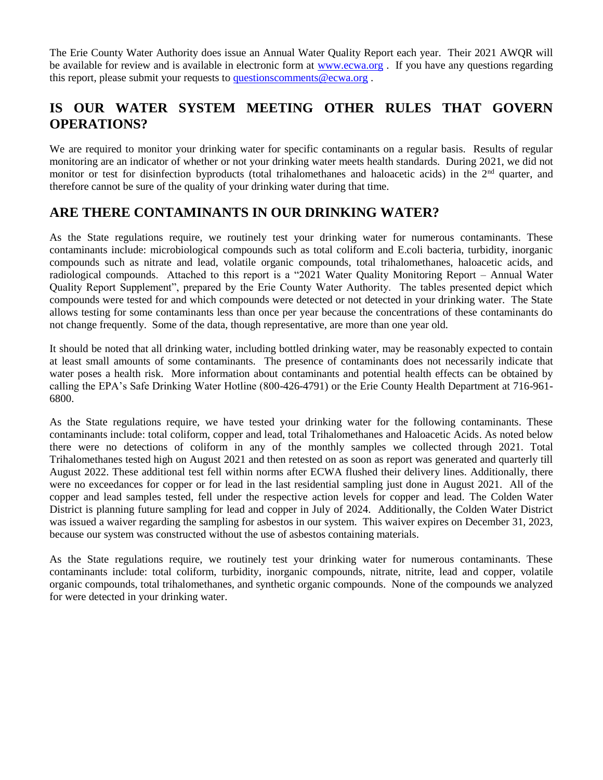The Erie County Water Authority does issue an Annual Water Quality Report each year. Their 2021 AWQR will be available for review and is available in electronic form at [www.ecwa.org](http://www.ecwa.org/) . If you have any questions regarding this report, please submit your requests to [questionscomments@ecwa.org](mailto:questionscomments@ecwa.org) .

#### **IS OUR WATER SYSTEM MEETING OTHER RULES THAT GOVERN OPERATIONS?**

We are required to monitor your drinking water for specific contaminants on a regular basis. Results of regular monitoring are an indicator of whether or not your drinking water meets health standards. During 2021, we did not monitor or test for disinfection byproducts (total trihalomethanes and haloacetic acids) in the 2<sup>nd</sup> quarter, and therefore cannot be sure of the quality of your drinking water during that time.

#### **ARE THERE CONTAMINANTS IN OUR DRINKING WATER?**

As the State regulations require, we routinely test your drinking water for numerous contaminants. These contaminants include: microbiological compounds such as total coliform and E.coli bacteria, turbidity, inorganic compounds such as nitrate and lead, volatile organic compounds, total trihalomethanes, haloacetic acids, and radiological compounds. Attached to this report is a "2021 Water Quality Monitoring Report – Annual Water Quality Report Supplement", prepared by the Erie County Water Authority. The tables presented depict which compounds were tested for and which compounds were detected or not detected in your drinking water. The State allows testing for some contaminants less than once per year because the concentrations of these contaminants do not change frequently. Some of the data, though representative, are more than one year old.

It should be noted that all drinking water, including bottled drinking water, may be reasonably expected to contain at least small amounts of some contaminants. The presence of contaminants does not necessarily indicate that water poses a health risk. More information about contaminants and potential health effects can be obtained by calling the EPA's Safe Drinking Water Hotline (800-426-4791) or the Erie County Health Department at 716-961- 6800.

As the State regulations require, we have tested your drinking water for the following contaminants. These contaminants include: total coliform, copper and lead, total Trihalomethanes and Haloacetic Acids. As noted below there were no detections of coliform in any of the monthly samples we collected through 2021. Total Trihalomethanes tested high on August 2021 and then retested on as soon as report was generated and quarterly till August 2022. These additional test fell within norms after ECWA flushed their delivery lines. Additionally, there were no exceedances for copper or for lead in the last residential sampling just done in August 2021. All of the copper and lead samples tested, fell under the respective action levels for copper and lead. The Colden Water District is planning future sampling for lead and copper in July of 2024. Additionally, the Colden Water District was issued a waiver regarding the sampling for asbestos in our system. This waiver expires on December 31, 2023, because our system was constructed without the use of asbestos containing materials.

As the State regulations require, we routinely test your drinking water for numerous contaminants. These contaminants include: total coliform, turbidity, inorganic compounds, nitrate, nitrite, lead and copper, volatile organic compounds, total trihalomethanes, and synthetic organic compounds. None of the compounds we analyzed for were detected in your drinking water.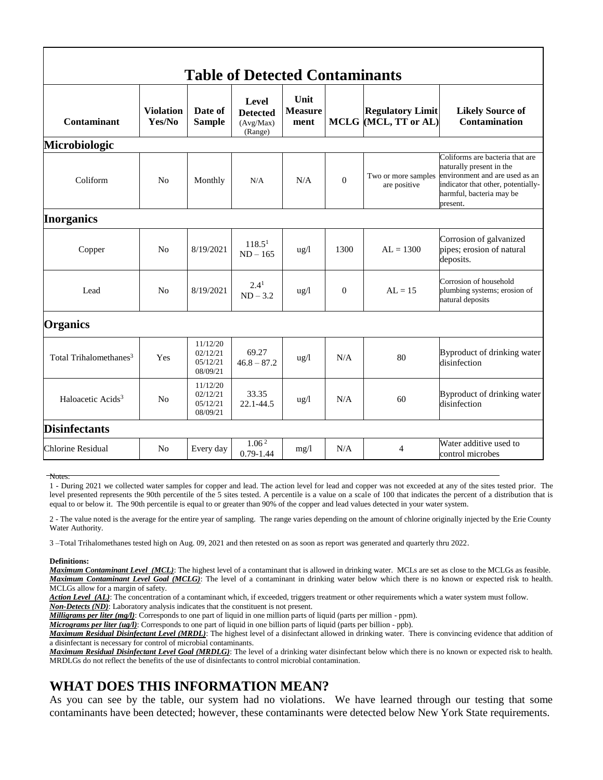| <b>Table of Detected Contaminants</b> |                            |                                              |                                                  |                                |              |                                                 |                                                                                                                                                                             |
|---------------------------------------|----------------------------|----------------------------------------------|--------------------------------------------------|--------------------------------|--------------|-------------------------------------------------|-----------------------------------------------------------------------------------------------------------------------------------------------------------------------------|
| Contaminant                           | <b>Violation</b><br>Yes/No | Date of<br><b>Sample</b>                     | Level<br><b>Detected</b><br>(Avg/Max)<br>(Range) | Unit<br><b>Measure</b><br>ment |              | <b>Regulatory Limit</b><br>MCLG (MCL, TT or AL) | <b>Likely Source of</b><br><b>Contamination</b>                                                                                                                             |
| Microbiologic                         |                            |                                              |                                                  |                                |              |                                                 |                                                                                                                                                                             |
| Coliform                              | N <sub>o</sub>             | Monthly                                      | N/A                                              | N/A                            | $\mathbf{0}$ | Two or more samples<br>are positive             | Coliforms are bacteria that are<br>naturally present in the<br>environment and are used as an<br>indicator that other, potentially-<br>harmful, bacteria may be<br>present. |
| <b>Inorganics</b>                     |                            |                                              |                                                  |                                |              |                                                 |                                                                                                                                                                             |
| Copper                                | N <sub>0</sub>             | 8/19/2021                                    | 118.5 <sup>1</sup><br>$ND - 165$                 | $\frac{u g}{l}$                | 1300         | $AL = 1300$                                     | Corrosion of galvanized<br>pipes; erosion of natural<br>deposits.                                                                                                           |
| Lead                                  | N <sub>0</sub>             | 8/19/2021                                    | 2.4 <sup>1</sup><br>$ND-3.2$                     | $\frac{u g}{l}$                | $\Omega$     | $AL = 15$                                       | Corrosion of household<br>plumbing systems; erosion of<br>natural deposits                                                                                                  |
| <b>Organics</b>                       |                            |                                              |                                                  |                                |              |                                                 |                                                                                                                                                                             |
| Total Trihalomethanes <sup>3</sup>    | Yes                        | 11/12/20<br>02/12/21<br>05/12/21<br>08/09/21 | 69.27<br>$46.8 - 87.2$                           | $\frac{u g}{l}$                | N/A          | 80                                              | Byproduct of drinking water<br>disinfection                                                                                                                                 |
| Haloacetic Acids <sup>3</sup>         | N <sub>0</sub>             | 11/12/20<br>02/12/21<br>05/12/21<br>08/09/21 | 33.35<br>22.1-44.5                               | $u\,g/l$                       | N/A          | 60                                              | Byproduct of drinking water<br>disinfection                                                                                                                                 |
| <b>Disinfectants</b>                  |                            |                                              |                                                  |                                |              |                                                 |                                                                                                                                                                             |
| <b>Chlorine Residual</b>              | N <sub>0</sub>             | Every day                                    | 1.06 <sup>2</sup><br>$0.79 - 1.44$               | mg/l                           | N/A          | 4                                               | Water additive used to<br>control microbes                                                                                                                                  |

Notes:

1 - During 2021 we collected water samples for copper and lead. The action level for lead and copper was not exceeded at any of the sites tested prior. The level presented represents the 90th percentile of the 5 sites tested. A percentile is a value on a scale of 100 that indicates the percent of a distribution that is equal to or below it. The 90th percentile is equal to or greater than 90% of the copper and lead values detected in your water system.

2 - The value noted is the average for the entire year of sampling. The range varies depending on the amount of chlorine originally injected by the Erie County Water Authority.

3 –Total Trihalomethanes tested high on Aug. 09, 2021 and then retested on as soon as report was generated and quarterly thru 2022.

**Definitions:**

*Maximum Contaminant Level (MCL)*: The highest level of a contaminant that is allowed in drinking water. MCLs are set as close to the MCLGs as feasible. *Maximum Contaminant Level Goal (MCLG)*: The level of a contaminant in drinking water below which there is no known or expected risk to health. MCLGs allow for a margin of safety.

Action Level (AL): The concentration of a contaminant which, if exceeded, triggers treatment or other requirements which a water system must follow.

*Non-Detects (ND)*: Laboratory analysis indicates that the constituent is not present.

*Milligrams per liter (mg/l)*: Corresponds to one part of liquid in one million parts of liquid (parts per million - ppm).

*Micrograms per liter (ug/l)*: Corresponds to one part of liquid in one billion parts of liquid (parts per billion - ppb).

*Maximum Residual Disinfectant Level (MRDL)*: The highest level of a disinfectant allowed in drinking water. There is convincing evidence that addition of a disinfectant is necessary for control of microbial contaminants.

*Maximum Residual Disinfectant Level Goal (MRDLG)*: The level of a drinking water disinfectant below which there is no known or expected risk to health. MRDLGs do not reflect the benefits of the use of disinfectants to control microbial contamination.

#### **WHAT DOES THIS INFORMATION MEAN?**

As you can see by the table, our system had no violations. We have learned through our testing that some contaminants have been detected; however, these contaminants were detected below New York State requirements.